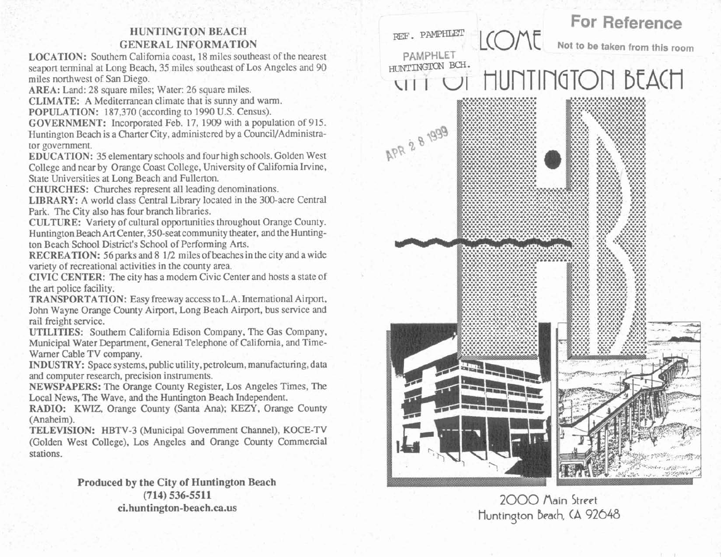## **HUNTINGTON BEACH GENERAL INFORMATION**

**LOCATION:** Southern California coast, 18 miles southeast of the nearest seaport terminal at Long Beach, 35 miles southeast of Los Angeles and 90 miles northwest of San Diego.

**AREA:** Land: 28 square miles; Water: 26 square miles.

**CLIMATE:** A Mediterranean climate that is sunny and warm.

**POPULATION:** 187,370 (according to 1990 U.S. Census).

**GOVERNMENT:** Incorporated Feb. 17, 1909 with a population of 915. Huntington Beach is a Charter City, administered by a Council/Administrator government.

**EDUCATION:** 35 elementary schools and four high schools. Golden West College and near by Orange Coast College, University of California Irvine, State Universities at Long Beach and Fullerton.

**CHURCHES:** Churches represent all leading denominations.

**LIBRARY:** A world class Central Library located in the 300-acre Central Park. The City also has four branch libraries.

**CULTURE:** Variety of cultural opportunities throughout Orange County. Huntington Beach Art Center, 350-seat community theater, and the Huntington Beach School District's School of Performing Arts.

**RECREATION:** 56 parks and 8 1/2 miles of beaches in the city and a wide variety of recreational activities in the county area.

**CIVIC CENTER:** The city has a modem Civic Center and hosts a state of the art police facility.

**TRANSPORTATION:** Easy freeway access to L.A. International Airport, John Wayne Orange County Airport, Long Beach Airport, bus service and rail freight service.

**UTILITIES:** Southern California Edison Company, The Gas Company, Municipal Water Department, General Telephone of California, and Time-Warner Cable TV company.

**INDUSTRY:** Space systems, public utility, petroleum, manufacturing, data and computer research, precision instruments.

**NEWSPAPERS:** The Orange County Register, Los Angeles Times, The Local News, The Wave, and **the** Huntington Beach Independent.

**RADIO:** KWIZ, Orange County (Santa Ana); KEZY, Orange County (Anaheim).

**TELEVISION:** HBTV-3 (Municipal Government Channel), KOCE-TV (Golden West College), Los Angeles **and** Orange County Commercial stations.

> **Produced by the City of Huntington Beach (714) 536-5511 ci.huntington-beach.ca.us**



## 2000 Main Street Huntington **brach, (A** 92048